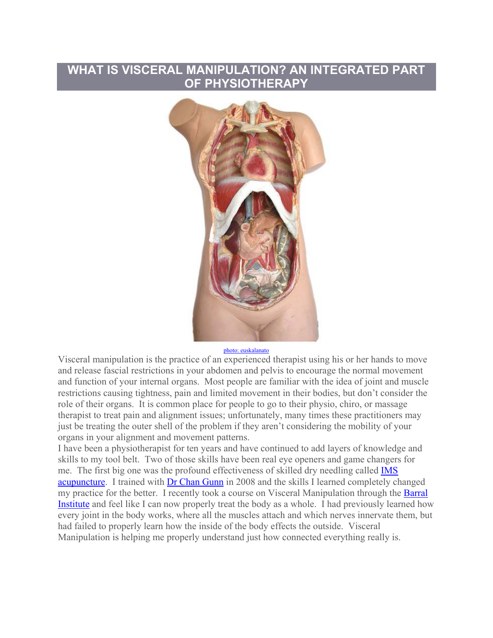## **WHAT IS VISCERAL MANIPULATION? AN INTEGRATED PART OF PHYSIOTHERAPY**



photo: euskalanato

Visceral manipulation is the practice of an experienced therapist using his or her hands to move and release fascial restrictions in your abdomen and pelvis to encourage the normal movement and function of your internal organs. Most people are familiar with the idea of joint and muscle restrictions causing tightness, pain and limited movement in their bodies, but don't consider the role of their organs. It is common place for people to go to their physio, chiro, or massage therapist to treat pain and alignment issues; unfortunately, many times these practitioners may just be treating the outer shell of the problem if they aren't considering the mobility of your organs in your alignment and movement patterns.

I have been a physiotherapist for ten years and have continued to add layers of knowledge and skills to my tool belt. Two of those skills have been real eye openers and game changers for me. The first big one was the profound effectiveness of skilled dry needling called IMS acupuncture. I trained with Dr Chan Gunn in 2008 and the skills I learned completely changed my practice for the better. I recently took a course on Visceral Manipulation through the Barral Institute and feel like I can now properly treat the body as a whole. I had previously learned how every joint in the body works, where all the muscles attach and which nerves innervate them, but had failed to properly learn how the inside of the body effects the outside. Visceral Manipulation is helping me properly understand just how connected everything really is.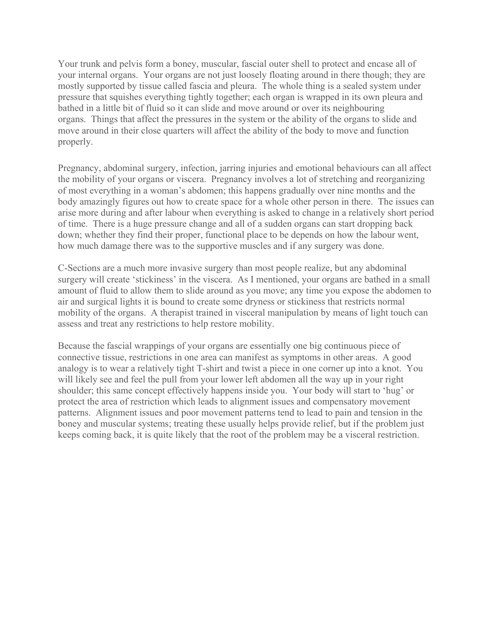Your trunk and pelvis form a boney, muscular, fascial outer shell to protect and encase all of your internal organs. Your organs are not just loosely floating around in there though; they are mostly supported by tissue called fascia and pleura. The whole thing is a sealed system under pressure that squishes everything tightly together; each organ is wrapped in its own pleura and bathed in a little bit of fluid so it can slide and move around or over its neighbouring organs. Things that affect the pressures in the system or the ability of the organs to slide and move around in their close quarters will affect the ability of the body to move and function properly.

Pregnancy, abdominal surgery, infection, jarring injuries and emotional behaviours can all affect the mobility of your organs or viscera. Pregnancy involves a lot of stretching and reorganizing of most everything in a woman's abdomen; this happens gradually over nine months and the body amazingly figures out how to create space for a whole other person in there. The issues can arise more during and after labour when everything is asked to change in a relatively short period of time. There is a huge pressure change and all of a sudden organs can start dropping back down; whether they find their proper, functional place to be depends on how the labour went, how much damage there was to the supportive muscles and if any surgery was done.

C-Sections are a much more invasive surgery than most people realize, but any abdominal surgery will create 'stickiness' in the viscera. As I mentioned, your organs are bathed in a small amount of fluid to allow them to slide around as you move; any time you expose the abdomen to air and surgical lights it is bound to create some dryness or stickiness that restricts normal mobility of the organs. A therapist trained in visceral manipulation by means of light touch can assess and treat any restrictions to help restore mobility.

Because the fascial wrappings of your organs are essentially one big continuous piece of connective tissue, restrictions in one area can manifest as symptoms in other areas. A good analogy is to wear a relatively tight T-shirt and twist a piece in one corner up into a knot. You will likely see and feel the pull from your lower left abdomen all the way up in your right shoulder; this same concept effectively happens inside you. Your body will start to 'hug' or protect the area of restriction which leads to alignment issues and compensatory movement patterns. Alignment issues and poor movement patterns tend to lead to pain and tension in the boney and muscular systems; treating these usually helps provide relief, but if the problem just keeps coming back, it is quite likely that the root of the problem may be a visceral restriction.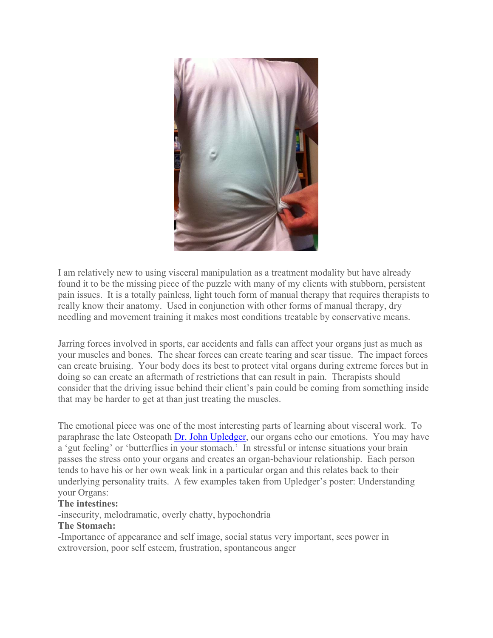

I am relatively new to using visceral manipulation as a treatment modality but have already found it to be the missing piece of the puzzle with many of my clients with stubborn, persistent pain issues. It is a totally painless, light touch form of manual therapy that requires therapists to really know their anatomy. Used in conjunction with other forms of manual therapy, dry needling and movement training it makes most conditions treatable by conservative means.

Jarring forces involved in sports, car accidents and falls can affect your organs just as much as your muscles and bones. The shear forces can create tearing and scar tissue. The impact forces can create bruising. Your body does its best to protect vital organs during extreme forces but in doing so can create an aftermath of restrictions that can result in pain. Therapists should consider that the driving issue behind their client's pain could be coming from something inside that may be harder to get at than just treating the muscles.

The emotional piece was one of the most interesting parts of learning about visceral work. To paraphrase the late Osteopath Dr. John Upledger, our organs echo our emotions. You may have a 'gut feeling' or 'butterflies in your stomach.' In stressful or intense situations your brain passes the stress onto your organs and creates an organ-behaviour relationship. Each person tends to have his or her own weak link in a particular organ and this relates back to their underlying personality traits. A few examples taken from Upledger's poster: Understanding your Organs:

## **The intestines:**

-insecurity, melodramatic, overly chatty, hypochondria

## **The Stomach:**

-Importance of appearance and self image, social status very important, sees power in extroversion, poor self esteem, frustration, spontaneous anger